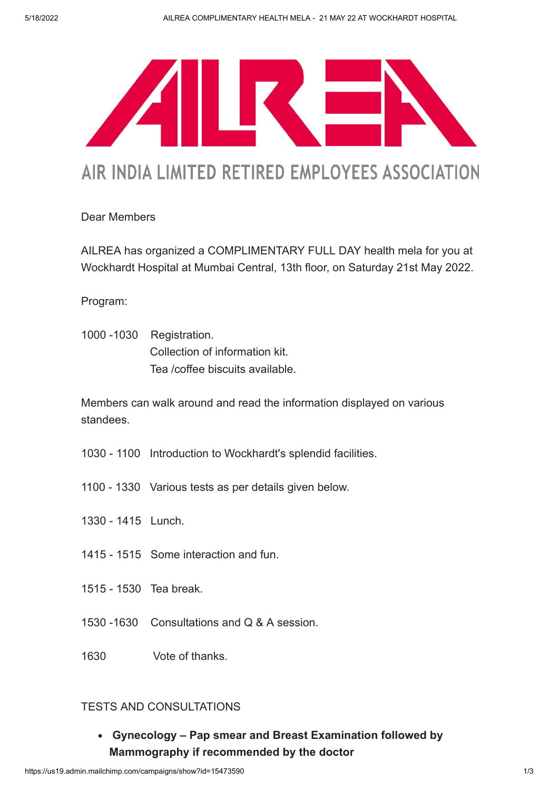

# AIR INDIA LIMITED RETIRED EMPLOYEES ASSOCIATION

## Dear Members

AILREA has organized a COMPLIMENTARY FULL DAY health mela for you at Wockhardt Hospital at Mumbai Central, 13th floor, on Saturday 21st May 2022.

Program:

1000 -1030 Registration. Collection of information kit. Tea /coffee biscuits available.

Members can walk around and read the information displayed on various standees.

- 1030 1100 Introduction to Wockhardt's splendid facilities.
- 1100 1330 Various tests as per details given below.
- 1330 1415 Lunch.
- 1415 1515 Some interaction and fun.
- 1515 1530 Tea break.
- 1530 -1630 Consultations and Q & A session.
- 1630 Vote of thanks.

### TESTS AND CONSULTATIONS

Gynecology – Pap smear and Breast Examination followed by Mammography if recommended by the doctor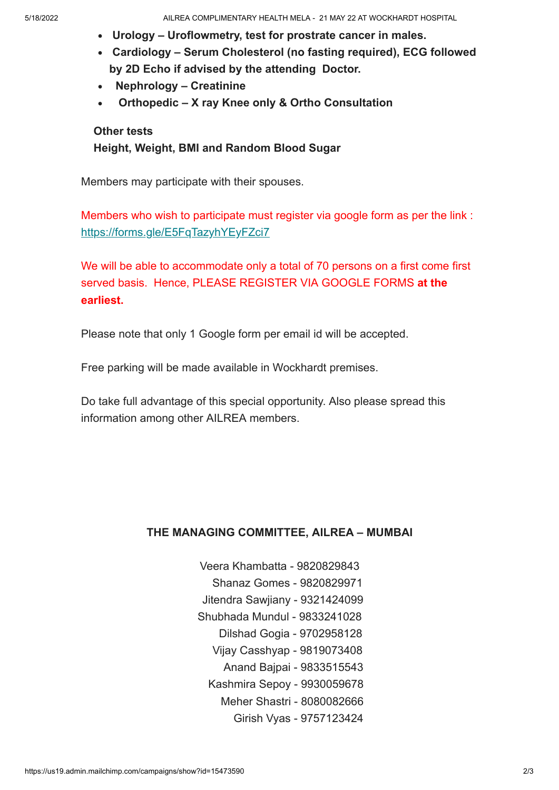- Urology Uroflowmetry, test for prostrate cancer in males.
- Cardiology Serum Cholesterol (no fasting required), ECG followed by 2D Echo if advised by the attending Doctor.
- Nephrology Creatinine
- Orthopedic X ray Knee only & Ortho Consultation

#### Other tests

#### Height, Weight, BMI and Random Blood Sugar

Members may participate with their spouses.

Members who wish to participate must register via google form as per the link : <https://forms.gle/E5FqTazyhYEyFZci7>

We will be able to accommodate only a total of 70 persons on a first come first served basis. Hence, PLEASE REGISTER VIA GOOGLE FORMS at the earliest.

Please note that only 1 Google form per email id will be accepted.

Free parking will be made available in Wockhardt premises.

Do take full advantage of this special opportunity. Also please spread this information among other AILREA members.

#### THE MANAGING COMMITTEE, AILREA – MUMBAI

- Veera Khambatta 9820829843 Shanaz Gomes - 9820829971 Jitendra Sawjiany - 9321424099 Shubhada Mundul - 9833241028 Dilshad Gogia - 9702958128 Vijay Casshyap - 9819073408 Anand Bajpai - 9833515543 Kashmira Sepoy - 9930059678 Meher Shastri - 8080082666
	- Girish Vyas 9757123424